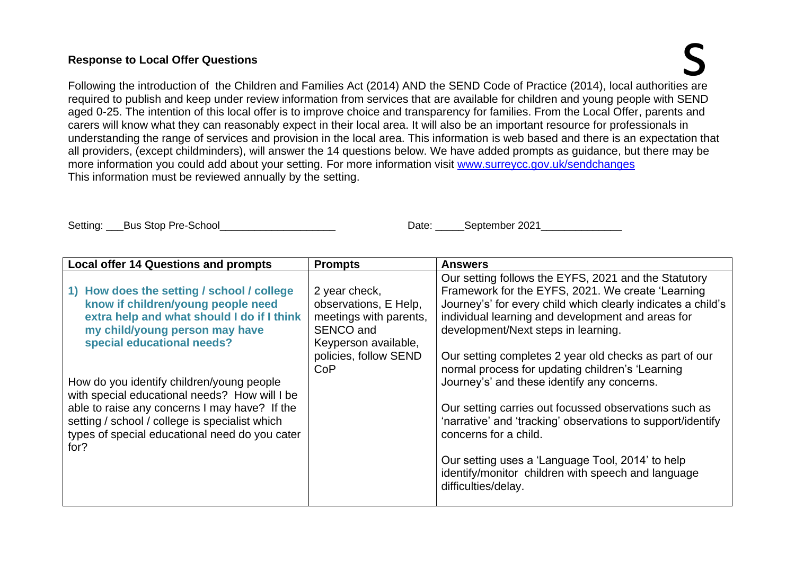Response to Local Offer Questions<br>Following the introduction of the Children and Families Act (2014) AND the SEND Code of Practice (2014), local authorities are required to publish and keep under review information from services that are available for children and young people with SEND aged 0-25. The intention of this local offer is to improve choice and transparency for families. From the Local Offer, parents and carers will know what they can reasonably expect in their local area. It will also be an important resource for professionals in understanding the range of services and provision in the local area. This information is web based and there is an expectation that all providers, (except childminders), will answer the 14 questions below. We have added prompts as guidance, but there may be more information you could add about your setting. For more information visit [www.surreycc.gov.uk/sendchanges](http://www.surreycc.gov.uk/sendchanges) This information must be reviewed annually by the setting.

Setting: Bus Stop Pre-School and Electronic Contract Contract Contract Contract Contract Contract Contract Contract Contract Contract Contract Contract Contract Contract Contract Contract Contract Contract Contract Contrac

| <b>Local offer 14 Questions and prompts</b>                                                                                                                                                                | <b>Prompts</b>                                                                                                                 | <b>Answers</b>                                                                                                                                                                                                                                                                                                                  |
|------------------------------------------------------------------------------------------------------------------------------------------------------------------------------------------------------------|--------------------------------------------------------------------------------------------------------------------------------|---------------------------------------------------------------------------------------------------------------------------------------------------------------------------------------------------------------------------------------------------------------------------------------------------------------------------------|
| 1) How does the setting / school / college<br>know if children/young people need<br>extra help and what should I do if I think<br>my child/young person may have<br>special educational needs?             | 2 year check,<br>observations, E Help,<br>meetings with parents,<br>SENCO and<br>Keyperson available,<br>policies, follow SEND | Our setting follows the EYFS, 2021 and the Statutory<br>Framework for the EYFS, 2021. We create 'Learning<br>Journey's' for every child which clearly indicates a child's<br>individual learning and development and areas for<br>development/Next steps in learning.<br>Our setting completes 2 year old checks as part of our |
| How do you identify children/young people                                                                                                                                                                  | CoP                                                                                                                            | normal process for updating children's 'Learning<br>Journey's' and these identify any concerns.                                                                                                                                                                                                                                 |
| with special educational needs? How will I be<br>able to raise any concerns I may have? If the<br>setting / school / college is specialist which<br>types of special educational need do you cater<br>for? |                                                                                                                                | Our setting carries out focussed observations such as<br>'narrative' and 'tracking' observations to support/identify<br>concerns for a child.                                                                                                                                                                                   |
|                                                                                                                                                                                                            |                                                                                                                                | Our setting uses a 'Language Tool, 2014' to help<br>identify/monitor children with speech and language<br>difficulties/delay.                                                                                                                                                                                                   |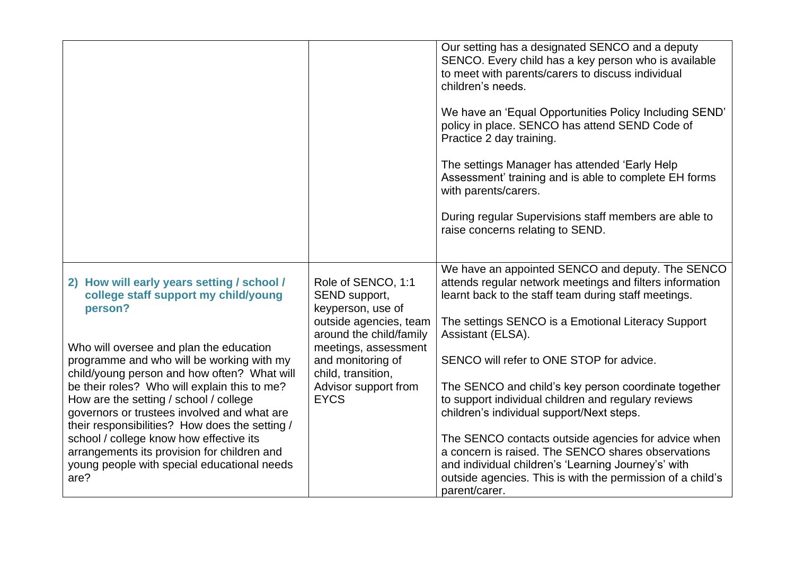|                                                                                                                                                                                         |                                                                           | Our setting has a designated SENCO and a deputy<br>SENCO. Every child has a key person who is available<br>to meet with parents/carers to discuss individual<br>children's needs.<br>We have an 'Equal Opportunities Policy Including SEND'<br>policy in place. SENCO has attend SEND Code of<br>Practice 2 day training.<br>The settings Manager has attended 'Early Help<br>Assessment' training and is able to complete EH forms<br>with parents/carers.<br>During regular Supervisions staff members are able to<br>raise concerns relating to SEND. |
|-----------------------------------------------------------------------------------------------------------------------------------------------------------------------------------------|---------------------------------------------------------------------------|----------------------------------------------------------------------------------------------------------------------------------------------------------------------------------------------------------------------------------------------------------------------------------------------------------------------------------------------------------------------------------------------------------------------------------------------------------------------------------------------------------------------------------------------------------|
| 2) How will early years setting / school /<br>college staff support my child/young<br>person?                                                                                           | Role of SENCO, 1:1<br>SEND support,<br>keyperson, use of                  | We have an appointed SENCO and deputy. The SENCO<br>attends regular network meetings and filters information<br>learnt back to the staff team during staff meetings.                                                                                                                                                                                                                                                                                                                                                                                     |
| Who will oversee and plan the education                                                                                                                                                 | outside agencies, team<br>around the child/family<br>meetings, assessment | The settings SENCO is a Emotional Literacy Support<br>Assistant (ELSA).                                                                                                                                                                                                                                                                                                                                                                                                                                                                                  |
| programme and who will be working with my<br>child/young person and how often? What will                                                                                                | and monitoring of<br>child, transition,                                   | SENCO will refer to ONE STOP for advice.                                                                                                                                                                                                                                                                                                                                                                                                                                                                                                                 |
| be their roles? Who will explain this to me?<br>How are the setting / school / college<br>governors or trustees involved and what are<br>their responsibilities? How does the setting / | Advisor support from<br><b>EYCS</b>                                       | The SENCO and child's key person coordinate together<br>to support individual children and regulary reviews<br>children's individual support/Next steps.                                                                                                                                                                                                                                                                                                                                                                                                 |
| school / college know how effective its<br>arrangements its provision for children and<br>young people with special educational needs<br>are?                                           |                                                                           | The SENCO contacts outside agencies for advice when<br>a concern is raised. The SENCO shares observations<br>and individual children's 'Learning Journey's' with<br>outside agencies. This is with the permission of a child's<br>parent/carer.                                                                                                                                                                                                                                                                                                          |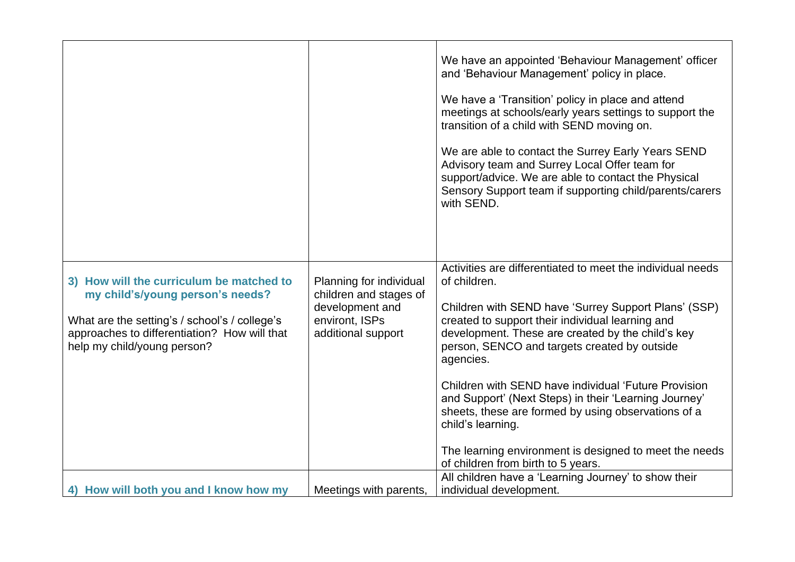|                                                                                                                                                                                                              |                                                                                                              | We have an appointed 'Behaviour Management' officer<br>and 'Behaviour Management' policy in place.<br>We have a 'Transition' policy in place and attend<br>meetings at schools/early years settings to support the<br>transition of a child with SEND moving on.<br>We are able to contact the Surrey Early Years SEND<br>Advisory team and Surrey Local Offer team for<br>support/advice. We are able to contact the Physical<br>Sensory Support team if supporting child/parents/carers<br>with SEND. |
|--------------------------------------------------------------------------------------------------------------------------------------------------------------------------------------------------------------|--------------------------------------------------------------------------------------------------------------|---------------------------------------------------------------------------------------------------------------------------------------------------------------------------------------------------------------------------------------------------------------------------------------------------------------------------------------------------------------------------------------------------------------------------------------------------------------------------------------------------------|
| 3) How will the curriculum be matched to<br>my child's/young person's needs?<br>What are the setting's / school's / college's<br>approaches to differentiation? How will that<br>help my child/young person? | Planning for individual<br>children and stages of<br>development and<br>environt, ISPs<br>additional support | Activities are differentiated to meet the individual needs<br>of children.<br>Children with SEND have 'Surrey Support Plans' (SSP)<br>created to support their individual learning and<br>development. These are created by the child's key<br>person, SENCO and targets created by outside<br>agencies.<br>Children with SEND have individual 'Future Provision<br>and Support' (Next Steps) in their 'Learning Journey'<br>sheets, these are formed by using observations of a<br>child's learning.   |
|                                                                                                                                                                                                              |                                                                                                              | The learning environment is designed to meet the needs<br>of children from birth to 5 years.                                                                                                                                                                                                                                                                                                                                                                                                            |
| 4) How will both you and I know how my                                                                                                                                                                       | Meetings with parents,                                                                                       | All children have a 'Learning Journey' to show their<br>individual development.                                                                                                                                                                                                                                                                                                                                                                                                                         |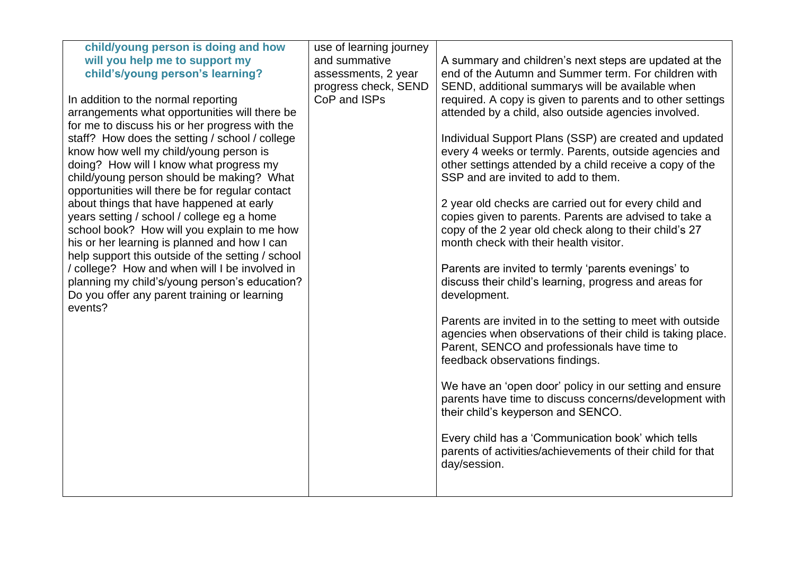| child/young person is doing and how                                                       | use of learning journey |                                                                                                                  |
|-------------------------------------------------------------------------------------------|-------------------------|------------------------------------------------------------------------------------------------------------------|
| will you help me to support my                                                            | and summative           | A summary and children's next steps are updated at the                                                           |
| child's/young person's learning?                                                          | assessments, 2 year     | end of the Autumn and Summer term. For children with                                                             |
|                                                                                           | progress check, SEND    | SEND, additional summarys will be available when                                                                 |
| In addition to the normal reporting                                                       | CoP and ISPs            | required. A copy is given to parents and to other settings                                                       |
| arrangements what opportunities will there be                                             |                         | attended by a child, also outside agencies involved.                                                             |
| for me to discuss his or her progress with the                                            |                         |                                                                                                                  |
| staff? How does the setting / school / college                                            |                         | Individual Support Plans (SSP) are created and updated                                                           |
| know how well my child/young person is                                                    |                         | every 4 weeks or termly. Parents, outside agencies and                                                           |
| doing? How will I know what progress my                                                   |                         | other settings attended by a child receive a copy of the                                                         |
| child/young person should be making? What                                                 |                         | SSP and are invited to add to them.                                                                              |
| opportunities will there be for regular contact                                           |                         |                                                                                                                  |
| about things that have happened at early                                                  |                         | 2 year old checks are carried out for every child and                                                            |
| years setting / school / college eg a home<br>school book? How will you explain to me how |                         | copies given to parents. Parents are advised to take a<br>copy of the 2 year old check along to their child's 27 |
| his or her learning is planned and how I can                                              |                         | month check with their health visitor.                                                                           |
| help support this outside of the setting / school                                         |                         |                                                                                                                  |
| college? How and when will I be involved in                                               |                         | Parents are invited to termly 'parents evenings' to                                                              |
| planning my child's/young person's education?                                             |                         | discuss their child's learning, progress and areas for                                                           |
| Do you offer any parent training or learning                                              |                         | development.                                                                                                     |
| events?                                                                                   |                         |                                                                                                                  |
|                                                                                           |                         | Parents are invited in to the setting to meet with outside                                                       |
|                                                                                           |                         | agencies when observations of their child is taking place.                                                       |
|                                                                                           |                         | Parent, SENCO and professionals have time to                                                                     |
|                                                                                           |                         | feedback observations findings.                                                                                  |
|                                                                                           |                         |                                                                                                                  |
|                                                                                           |                         | We have an 'open door' policy in our setting and ensure                                                          |
|                                                                                           |                         | parents have time to discuss concerns/development with<br>their child's keyperson and SENCO.                     |
|                                                                                           |                         |                                                                                                                  |
|                                                                                           |                         | Every child has a 'Communication book' which tells                                                               |
|                                                                                           |                         | parents of activities/achievements of their child for that                                                       |
|                                                                                           |                         | day/session.                                                                                                     |
|                                                                                           |                         |                                                                                                                  |
|                                                                                           |                         |                                                                                                                  |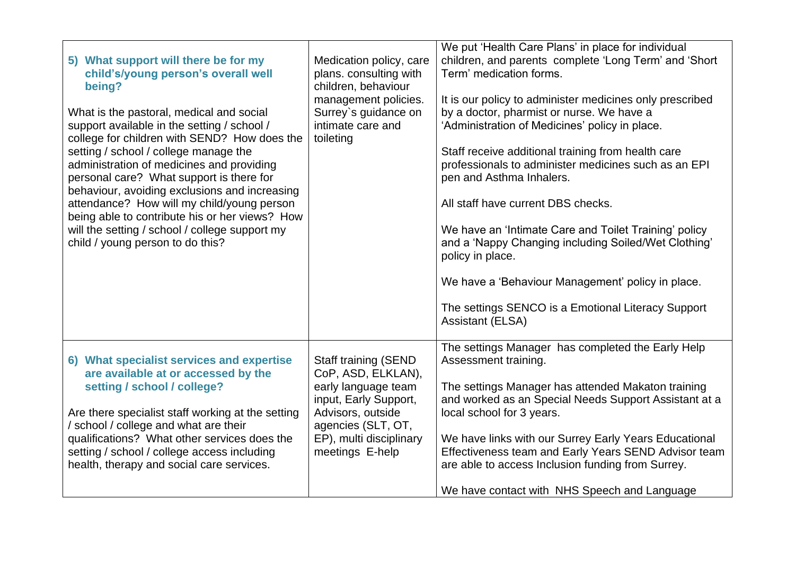|                                                   |                         | We put 'Health Care Plans' in place for individual       |
|---------------------------------------------------|-------------------------|----------------------------------------------------------|
| 5) What support will there be for my              | Medication policy, care | children, and parents complete 'Long Term' and 'Short    |
| child's/young person's overall well               | plans. consulting with  | Term' medication forms.                                  |
| being?                                            | children, behaviour     |                                                          |
|                                                   | management policies.    | It is our policy to administer medicines only prescribed |
| What is the pastoral, medical and social          | Surrey's guidance on    | by a doctor, pharmist or nurse. We have a                |
| support available in the setting / school /       | intimate care and       | 'Administration of Medicines' policy in place.           |
| college for children with SEND? How does the      | toileting               |                                                          |
| setting / school / college manage the             |                         | Staff receive additional training from health care       |
| administration of medicines and providing         |                         | professionals to administer medicines such as an EPI     |
| personal care? What support is there for          |                         | pen and Asthma Inhalers.                                 |
| behaviour, avoiding exclusions and increasing     |                         |                                                          |
| attendance? How will my child/young person        |                         | All staff have current DBS checks.                       |
| being able to contribute his or her views? How    |                         |                                                          |
| will the setting / school / college support my    |                         | We have an 'Intimate Care and Toilet Training' policy    |
| child / young person to do this?                  |                         | and a 'Nappy Changing including Soiled/Wet Clothing'     |
|                                                   |                         | policy in place.                                         |
|                                                   |                         |                                                          |
|                                                   |                         | We have a 'Behaviour Management' policy in place.        |
|                                                   |                         |                                                          |
|                                                   |                         | The settings SENCO is a Emotional Literacy Support       |
|                                                   |                         | Assistant (ELSA)                                         |
|                                                   |                         |                                                          |
|                                                   |                         | The settings Manager has completed the Early Help        |
| 6) What specialist services and expertise         | Staff training (SEND    | Assessment training.                                     |
| are available at or accessed by the               | CoP, ASD, ELKLAN),      |                                                          |
| setting / school / college?                       | early language team     | The settings Manager has attended Makaton training       |
|                                                   | input, Early Support,   | and worked as an Special Needs Support Assistant at a    |
| Are there specialist staff working at the setting | Advisors, outside       | local school for 3 years.                                |
| / school / college and what are their             | agencies (SLT, OT,      |                                                          |
| qualifications? What other services does the      | EP), multi disciplinary | We have links with our Surrey Early Years Educational    |
| setting / school / college access including       | meetings E-help         | Effectiveness team and Early Years SEND Advisor team     |
| health, therapy and social care services.         |                         | are able to access Inclusion funding from Surrey.        |
|                                                   |                         |                                                          |
|                                                   |                         | We have contact with NHS Speech and Language             |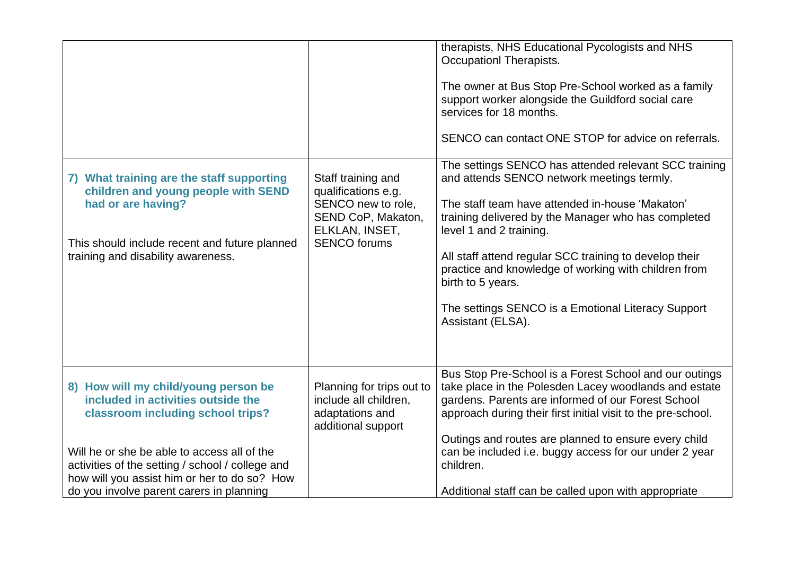| 7) What training are the staff supporting<br>children and young people with SEND<br>had or are having?<br>This should include recent and future planned<br>training and disability awareness. | Staff training and<br>qualifications e.g.<br>SENCO new to role,<br>SEND CoP, Makaton,<br>ELKLAN, INSET,<br><b>SENCO</b> forums | therapists, NHS Educational Pycologists and NHS<br><b>Occupationl Therapists.</b><br>The owner at Bus Stop Pre-School worked as a family<br>support worker alongside the Guildford social care<br>services for 18 months.<br>SENCO can contact ONE STOP for advice on referrals.<br>The settings SENCO has attended relevant SCC training<br>and attends SENCO network meetings termly.<br>The staff team have attended in-house 'Makaton'<br>training delivered by the Manager who has completed<br>level 1 and 2 training.<br>All staff attend regular SCC training to develop their<br>practice and knowledge of working with children from<br>birth to 5 years.<br>The settings SENCO is a Emotional Literacy Support<br>Assistant (ELSA). |
|-----------------------------------------------------------------------------------------------------------------------------------------------------------------------------------------------|--------------------------------------------------------------------------------------------------------------------------------|------------------------------------------------------------------------------------------------------------------------------------------------------------------------------------------------------------------------------------------------------------------------------------------------------------------------------------------------------------------------------------------------------------------------------------------------------------------------------------------------------------------------------------------------------------------------------------------------------------------------------------------------------------------------------------------------------------------------------------------------|
| 8) How will my child/young person be<br>included in activities outside the<br>classroom including school trips?                                                                               | Planning for trips out to<br>include all children,<br>adaptations and<br>additional support                                    | Bus Stop Pre-School is a Forest School and our outings<br>take place in the Polesden Lacey woodlands and estate<br>gardens. Parents are informed of our Forest School<br>approach during their first initial visit to the pre-school.                                                                                                                                                                                                                                                                                                                                                                                                                                                                                                          |
| Will he or she be able to access all of the<br>activities of the setting / school / college and<br>how will you assist him or her to do so? How<br>do you involve parent carers in planning   |                                                                                                                                | Outings and routes are planned to ensure every child<br>can be included i.e. buggy access for our under 2 year<br>children.<br>Additional staff can be called upon with appropriate                                                                                                                                                                                                                                                                                                                                                                                                                                                                                                                                                            |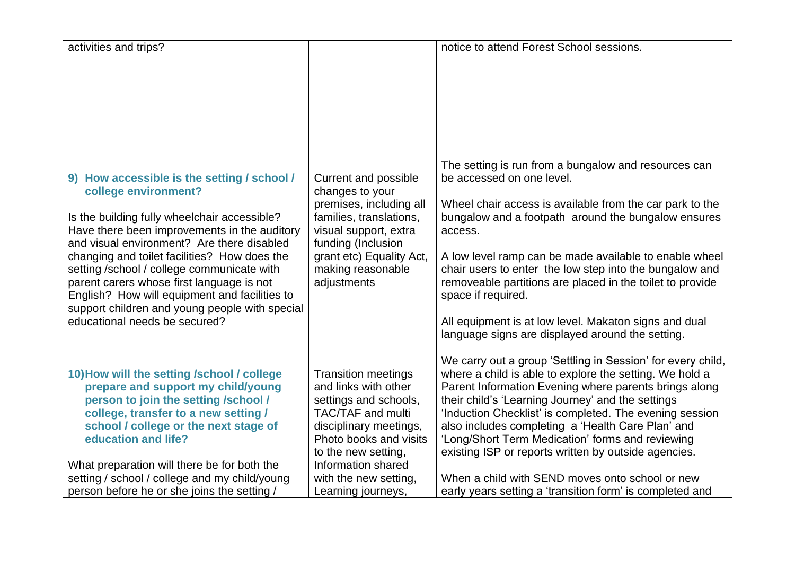| activities and trips?                                                                        |                                                    | notice to attend Forest School sessions.                                                                               |
|----------------------------------------------------------------------------------------------|----------------------------------------------------|------------------------------------------------------------------------------------------------------------------------|
|                                                                                              |                                                    |                                                                                                                        |
|                                                                                              |                                                    |                                                                                                                        |
|                                                                                              |                                                    |                                                                                                                        |
|                                                                                              |                                                    |                                                                                                                        |
|                                                                                              |                                                    |                                                                                                                        |
|                                                                                              |                                                    |                                                                                                                        |
| 9) How accessible is the setting / school /                                                  | Current and possible                               | The setting is run from a bungalow and resources can<br>be accessed on one level.                                      |
| college environment?                                                                         | changes to your                                    |                                                                                                                        |
| Is the building fully wheelchair accessible?                                                 | premises, including all<br>families, translations, | Wheel chair access is available from the car park to the<br>bungalow and a footpath around the bungalow ensures        |
| Have there been improvements in the auditory                                                 | visual support, extra                              | access.                                                                                                                |
| and visual environment? Are there disabled                                                   | funding (Inclusion                                 |                                                                                                                        |
| changing and toilet facilities? How does the<br>setting /school / college communicate with   | grant etc) Equality Act,<br>making reasonable      | A low level ramp can be made available to enable wheel<br>chair users to enter the low step into the bungalow and      |
| parent carers whose first language is not                                                    | adjustments                                        | removeable partitions are placed in the toilet to provide                                                              |
| English? How will equipment and facilities to                                                |                                                    | space if required.                                                                                                     |
| support children and young people with special<br>educational needs be secured?              |                                                    | All equipment is at low level. Makaton signs and dual                                                                  |
|                                                                                              |                                                    | language signs are displayed around the setting.                                                                       |
|                                                                                              |                                                    |                                                                                                                        |
| 10) How will the setting /school / college                                                   | <b>Transition meetings</b>                         | We carry out a group 'Settling in Session' for every child,<br>where a child is able to explore the setting. We hold a |
| prepare and support my child/young                                                           | and links with other                               | Parent Information Evening where parents brings along                                                                  |
| person to join the setting /school /                                                         | settings and schools,                              | their child's 'Learning Journey' and the settings                                                                      |
| college, transfer to a new setting /<br>school / college or the next stage of                | <b>TAC/TAF and multi</b><br>disciplinary meetings, | 'Induction Checklist' is completed. The evening session<br>also includes completing a 'Health Care Plan' and           |
| education and life?                                                                          | Photo books and visits                             | 'Long/Short Term Medication' forms and reviewing                                                                       |
|                                                                                              | to the new setting,                                | existing ISP or reports written by outside agencies.                                                                   |
| What preparation will there be for both the<br>setting / school / college and my child/young | Information shared<br>with the new setting,        | When a child with SEND moves onto school or new                                                                        |
| person before he or she joins the setting /                                                  | Learning journeys,                                 | early years setting a 'transition form' is completed and                                                               |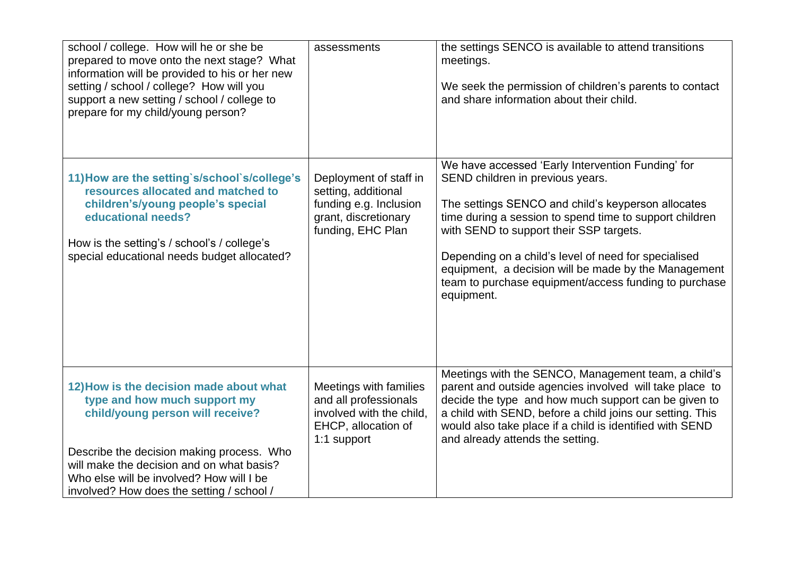| school / college. How will he or she be<br>prepared to move onto the next stage? What<br>information will be provided to his or her new<br>setting / school / college? How will you<br>support a new setting / school / college to<br>prepare for my child/young person?                       | assessments                                                                                                          | the settings SENCO is available to attend transitions<br>meetings.<br>We seek the permission of children's parents to contact<br>and share information about their child.                                                                                                                                                                                                                                                                |
|------------------------------------------------------------------------------------------------------------------------------------------------------------------------------------------------------------------------------------------------------------------------------------------------|----------------------------------------------------------------------------------------------------------------------|------------------------------------------------------------------------------------------------------------------------------------------------------------------------------------------------------------------------------------------------------------------------------------------------------------------------------------------------------------------------------------------------------------------------------------------|
| 11) How are the setting s/school s/college's<br>resources allocated and matched to<br>children's/young people's special<br>educational needs?<br>How is the setting's / school's / college's<br>special educational needs budget allocated?                                                    | Deployment of staff in<br>setting, additional<br>funding e.g. Inclusion<br>grant, discretionary<br>funding, EHC Plan | We have accessed 'Early Intervention Funding' for<br>SEND children in previous years.<br>The settings SENCO and child's keyperson allocates<br>time during a session to spend time to support children<br>with SEND to support their SSP targets.<br>Depending on a child's level of need for specialised<br>equipment, a decision will be made by the Management<br>team to purchase equipment/access funding to purchase<br>equipment. |
| 12) How is the decision made about what<br>type and how much support my<br>child/young person will receive?<br>Describe the decision making process. Who<br>will make the decision and on what basis?<br>Who else will be involved? How will I be<br>involved? How does the setting / school / | Meetings with families<br>and all professionals<br>involved with the child,<br>EHCP, allocation of<br>1:1 support    | Meetings with the SENCO, Management team, a child's<br>parent and outside agencies involved will take place to<br>decide the type and how much support can be given to<br>a child with SEND, before a child joins our setting. This<br>would also take place if a child is identified with SEND<br>and already attends the setting.                                                                                                      |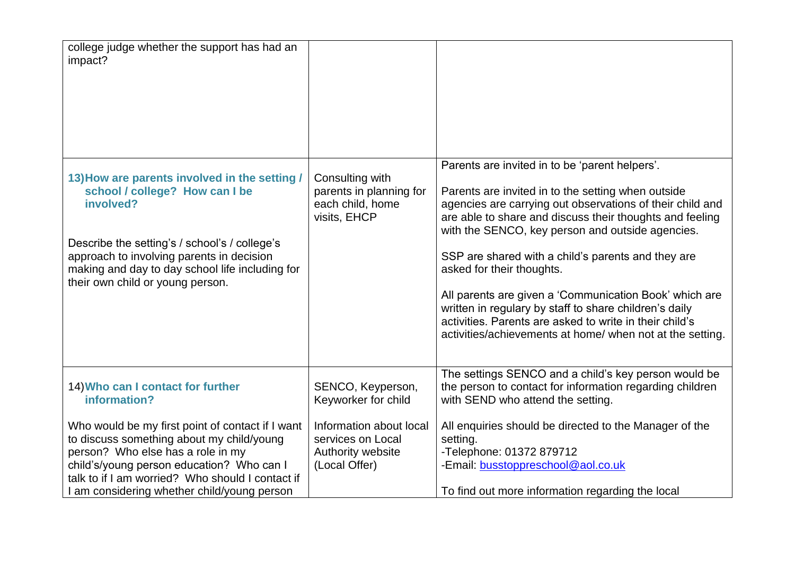| college judge whether the support has had an<br>impact?<br>13) How are parents involved in the setting /<br>school / college? How can I be<br>involved?<br>Describe the setting's / school's / college's<br>approach to involving parents in decision<br>making and day to day school life including for<br>their own child or young person. | Consulting with<br>parents in planning for<br>each child, home<br>visits, EHCP     | Parents are invited in to be 'parent helpers'.<br>Parents are invited in to the setting when outside<br>agencies are carrying out observations of their child and<br>are able to share and discuss their thoughts and feeling<br>with the SENCO, key person and outside agencies.<br>SSP are shared with a child's parents and they are<br>asked for their thoughts.<br>All parents are given a 'Communication Book' which are<br>written in regulary by staff to share children's daily<br>activities. Parents are asked to write in their child's<br>activities/achievements at home/ when not at the setting. |
|----------------------------------------------------------------------------------------------------------------------------------------------------------------------------------------------------------------------------------------------------------------------------------------------------------------------------------------------|------------------------------------------------------------------------------------|------------------------------------------------------------------------------------------------------------------------------------------------------------------------------------------------------------------------------------------------------------------------------------------------------------------------------------------------------------------------------------------------------------------------------------------------------------------------------------------------------------------------------------------------------------------------------------------------------------------|
| 14) Who can I contact for further<br>information?                                                                                                                                                                                                                                                                                            | SENCO, Keyperson,<br>Keyworker for child                                           | The settings SENCO and a child's key person would be<br>the person to contact for information regarding children<br>with SEND who attend the setting.                                                                                                                                                                                                                                                                                                                                                                                                                                                            |
| Who would be my first point of contact if I want<br>to discuss something about my child/young<br>person? Who else has a role in my<br>child's/young person education? Who can I<br>talk to if I am worried? Who should I contact if<br>I am considering whether child/young person                                                           | Information about local<br>services on Local<br>Authority website<br>(Local Offer) | All enquiries should be directed to the Manager of the<br>setting.<br>-Telephone: 01372 879712<br>-Email: busstoppreschool@aol.co.uk<br>To find out more information regarding the local                                                                                                                                                                                                                                                                                                                                                                                                                         |